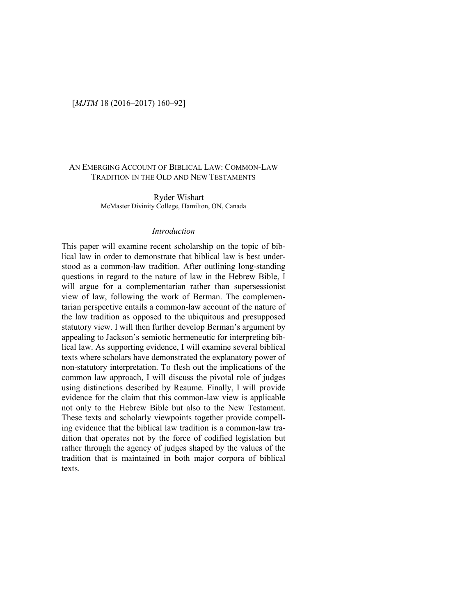## [*MJTM* 18 (2016–2017) 160–92]

# AN EMERGING ACCOUNT OF BIBLICAL LAW: COMMON-LAW TRADITION IN THE OLD AND NEW TESTAMENTS

Ryder Wishart McMaster Divinity College, Hamilton, ON, Canada

### *Introduction*

This paper will examine recent scholarship on the topic of biblical law in order to demonstrate that biblical law is best understood as a common-law tradition. After outlining long-standing questions in regard to the nature of law in the Hebrew Bible, I will argue for a complementarian rather than supersessionist view of law, following the work of Berman. The complementarian perspective entails a common-law account of the nature of the law tradition as opposed to the ubiquitous and presupposed statutory view. I will then further develop Berman's argument by appealing to Jackson's semiotic hermeneutic for interpreting biblical law. As supporting evidence, I will examine several biblical texts where scholars have demonstrated the explanatory power of non-statutory interpretation. To flesh out the implications of the common law approach, I will discuss the pivotal role of judges using distinctions described by Reaume. Finally, I will provide evidence for the claim that this common-law view is applicable not only to the Hebrew Bible but also to the New Testament. These texts and scholarly viewpoints together provide compelling evidence that the biblical law tradition is a common-law tradition that operates not by the force of codified legislation but rather through the agency of judges shaped by the values of the tradition that is maintained in both major corpora of biblical texts.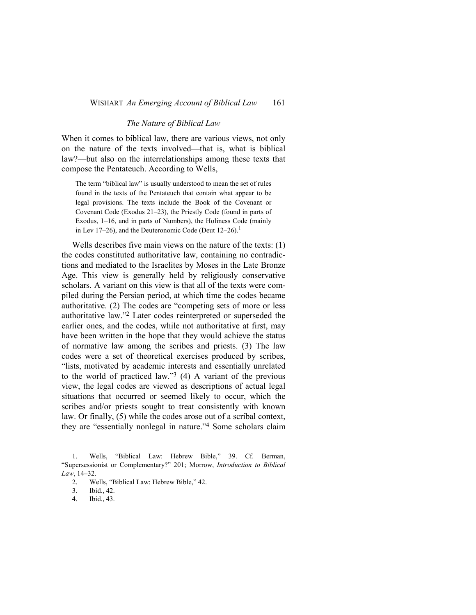### *The Nature of Biblical Law*

When it comes to biblical law, there are various views, not only on the nature of the texts involved—that is, what is biblical law?—but also on the interrelationships among these texts that compose the Pentateuch. According to Wells,

The term "biblical law" is usually understood to mean the set of rules found in the texts of the Pentateuch that contain what appear to be legal provisions. The texts include the Book of the Covenant or Covenant Code (Exodus 21–23), the Priestly Code (found in parts of Exodus, 1–16, and in parts of Numbers), the Holiness Code (mainly in Lev 17–26), and the Deuteronomic Code (Deut  $12-26$ ).<sup>1</sup>

Wells describes five main views on the nature of the texts: (1) the codes constituted authoritative law, containing no contradictions and mediated to the Israelites by Moses in the Late Bronze Age. This view is generally held by religiously conservative scholars. A variant on this view is that all of the texts were compiled during the Persian period, at which time the codes became authoritative. (2) The codes are "competing sets of more or less authoritative law."2 Later codes reinterpreted or superseded the earlier ones, and the codes, while not authoritative at first, may have been written in the hope that they would achieve the status of normative law among the scribes and priests. (3) The law codes were a set of theoretical exercises produced by scribes, "lists, motivated by academic interests and essentially unrelated to the world of practiced law."3 (4) A variant of the previous view, the legal codes are viewed as descriptions of actual legal situations that occurred or seemed likely to occur, which the scribes and/or priests sought to treat consistently with known law. Or finally, (5) while the codes arose out of a scribal context, they are "essentially nonlegal in nature."4 Some scholars claim

1. Wells, "Biblical Law: Hebrew Bible," 39. Cf. Berman, "Supersessionist or Complementary?" 201; Morrow, *Introduction to Biblical Law*, 14–32.

2. Wells, "Biblical Law: Hebrew Bible," 42.

3. Ibid., 42.

4. Ibid., 43.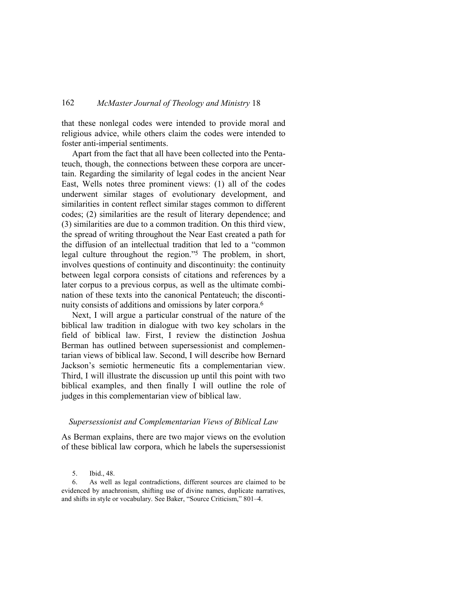that these nonlegal codes were intended to provide moral and religious advice, while others claim the codes were intended to foster anti-imperial sentiments.

Apart from the fact that all have been collected into the Pentateuch, though, the connections between these corpora are uncertain. Regarding the similarity of legal codes in the ancient Near East, Wells notes three prominent views: (1) all of the codes underwent similar stages of evolutionary development, and similarities in content reflect similar stages common to different codes; (2) similarities are the result of literary dependence; and (3) similarities are due to a common tradition. On this third view, the spread of writing throughout the Near East created a path for the diffusion of an intellectual tradition that led to a "common legal culture throughout the region."5 The problem, in short, involves questions of continuity and discontinuity: the continuity between legal corpora consists of citations and references by a later corpus to a previous corpus, as well as the ultimate combination of these texts into the canonical Pentateuch; the discontinuity consists of additions and omissions by later corpora.<sup>6</sup>

Next, I will argue a particular construal of the nature of the biblical law tradition in dialogue with two key scholars in the field of biblical law. First, I review the distinction Joshua Berman has outlined between supersessionist and complementarian views of biblical law. Second, I will describe how Bernard Jackson's semiotic hermeneutic fits a complementarian view. Third, I will illustrate the discussion up until this point with two biblical examples, and then finally I will outline the role of judges in this complementarian view of biblical law.

### *Supersessionist and Complementarian Views of Biblical Law*

As Berman explains, there are two major views on the evolution of these biblical law corpora, which he labels the supersessionist

<sup>5.</sup> Ibid., 48.

<sup>6.</sup> As well as legal contradictions, different sources are claimed to be evidenced by anachronism, shifting use of divine names, duplicate narratives, and shifts in style or vocabulary. See Baker, "Source Criticism," 801–4.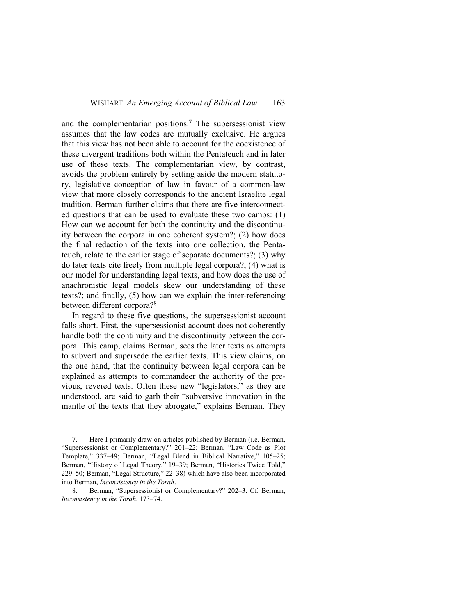and the complementarian positions.<sup>7</sup> The supersessionist view assumes that the law codes are mutually exclusive. He argues that this view has not been able to account for the coexistence of these divergent traditions both within the Pentateuch and in later use of these texts. The complementarian view, by contrast, avoids the problem entirely by setting aside the modern statutory, legislative conception of law in favour of a common-law view that more closely corresponds to the ancient Israelite legal tradition. Berman further claims that there are five interconnected questions that can be used to evaluate these two camps: (1) How can we account for both the continuity and the discontinuity between the corpora in one coherent system?; (2) how does the final redaction of the texts into one collection, the Pentateuch, relate to the earlier stage of separate documents?; (3) why do later texts cite freely from multiple legal corpora?; (4) what is our model for understanding legal texts, and how does the use of anachronistic legal models skew our understanding of these texts?; and finally, (5) how can we explain the inter-referencing between different corpora?<sup>8</sup>

In regard to these five questions, the supersessionist account falls short. First, the supersessionist account does not coherently handle both the continuity and the discontinuity between the corpora. This camp, claims Berman, sees the later texts as attempts to subvert and supersede the earlier texts. This view claims, on the one hand, that the continuity between legal corpora can be explained as attempts to commandeer the authority of the previous, revered texts. Often these new "legislators," as they are understood, are said to garb their "subversive innovation in the mantle of the texts that they abrogate," explains Berman. They

<sup>7.</sup> Here I primarily draw on articles published by Berman (i.e. Berman, "Supersessionist or Complementary?" 201–22; Berman, "Law Code as Plot Template," 337–49; Berman, "Legal Blend in Biblical Narrative," 105–25; Berman, "History of Legal Theory," 19–39; Berman, "Histories Twice Told," 229–50; Berman, "Legal Structure," 22–38) which have also been incorporated into Berman, *Inconsistency in the Torah*.

<sup>8.</sup> Berman, "Supersessionist or Complementary?" 202–3. Cf. Berman, *Inconsistency in the Torah*, 173–74.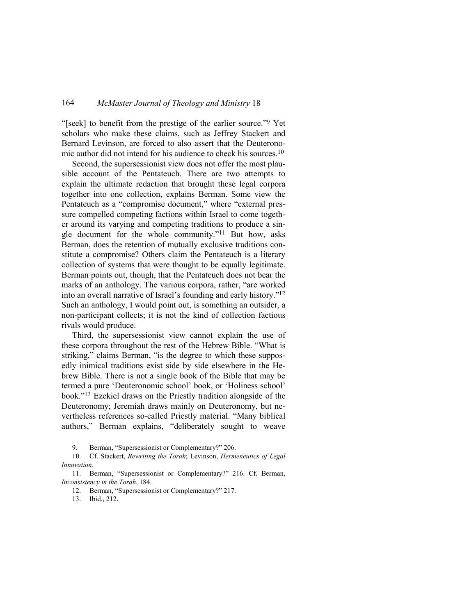"[seek] to benefit from the prestige of the earlier source."<sup>9</sup> Yet scholars who make these claims, such as Jeffrey Stackert and Bernard Levinson, are forced to also assert that the Deuteronomic author did not intend for his audience to check his sources.<sup>10</sup>

Second, the supersessionist view does not offer the most plausible account of the Pentateuch. There are two attempts to explain the ultimate redaction that brought these legal corpora together into one collection, explains Berman. Some view the Pentateuch as a "compromise document," where "external pressure compelled competing factions within Israel to come together around its varying and competing traditions to produce a single document for the whole community."11 But how, asks Berman, does the retention of mutually exclusive traditions constitute a compromise? Others claim the Pentateuch is a literary collection of systems that were thought to be equally legitimate. Berman points out, though, that the Pentateuch does not bear the marks of an anthology. The various corpora, rather, "are worked into an overall narrative of Israel's founding and early history."<sup>12</sup> Such an anthology, I would point out, is something an outsider, a non-participant collects; it is not the kind of collection factious rivals would produce.

Third, the supersessionist view cannot explain the use of these corpora throughout the rest of the Hebrew Bible. "What is striking," claims Berman, "is the degree to which these supposedly inimical traditions exist side by side elsewhere in the Hebrew Bible. There is not a single book of the Bible that may be termed a pure 'Deuteronomic school' book, or 'Holiness school' book."13 Ezekiel draws on the Priestly tradition alongside of the Deuteronomy; Jeremiah draws mainly on Deuteronomy, but nevertheless references so-called Priestly material. "Many biblical authors," Berman explains, "deliberately sought to weave

9. Berman, "Supersessionist or Complementary?" 206.

10. Cf. Stackert, *Rewriting the Torah*; Levinson, *Hermeneutics of Legal Innovation*.

11. Berman, "Supersessionist or Complementary?" 216. Cf. Berman, *Inconsistency in the Torah*, 184.

12. Berman, "Supersessionist or Complementary?" 217.

13. Ibid., 212.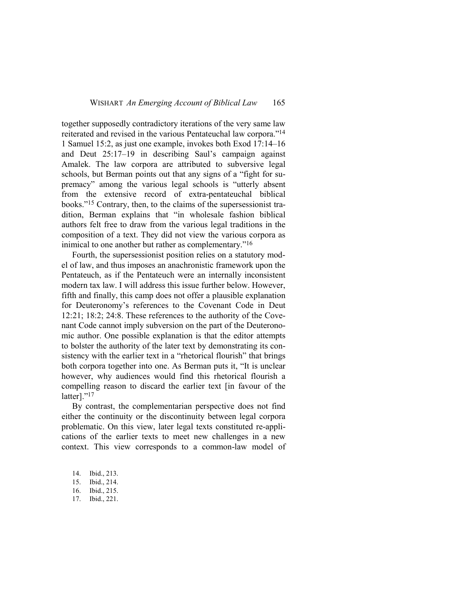together supposedly contradictory iterations of the very same law reiterated and revised in the various Pentateuchal law corpora."<sup>14</sup> 1 Samuel 15:2, as just one example, invokes both Exod 17:14–16 and Deut 25:17–19 in describing Saul's campaign against Amalek. The law corpora are attributed to subversive legal schools, but Berman points out that any signs of a "fight for supremacy" among the various legal schools is "utterly absent from the extensive record of extra-pentateuchal biblical books."15 Contrary, then, to the claims of the supersessionist tradition, Berman explains that "in wholesale fashion biblical authors felt free to draw from the various legal traditions in the composition of a text. They did not view the various corpora as inimical to one another but rather as complementary."<sup>16</sup>

Fourth, the supersessionist position relies on a statutory model of law, and thus imposes an anachronistic framework upon the Pentateuch, as if the Pentateuch were an internally inconsistent modern tax law. I will address this issue further below. However, fifth and finally, this camp does not offer a plausible explanation for Deuteronomy's references to the Covenant Code in Deut 12:21; 18:2; 24:8. These references to the authority of the Covenant Code cannot imply subversion on the part of the Deuteronomic author. One possible explanation is that the editor attempts to bolster the authority of the later text by demonstrating its consistency with the earlier text in a "rhetorical flourish" that brings both corpora together into one. As Berman puts it, "It is unclear however, why audiences would find this rhetorical flourish a compelling reason to discard the earlier text [in favour of the latter]."<sup>17</sup>

By contrast, the complementarian perspective does not find either the continuity or the discontinuity between legal corpora problematic. On this view, later legal texts constituted re-applications of the earlier texts to meet new challenges in a new context. This view corresponds to a common-law model of

- 14. Ibid., 213.
- 15. Ibid., 214.
- 16. Ibid., 215.
- 17. Ibid., 221.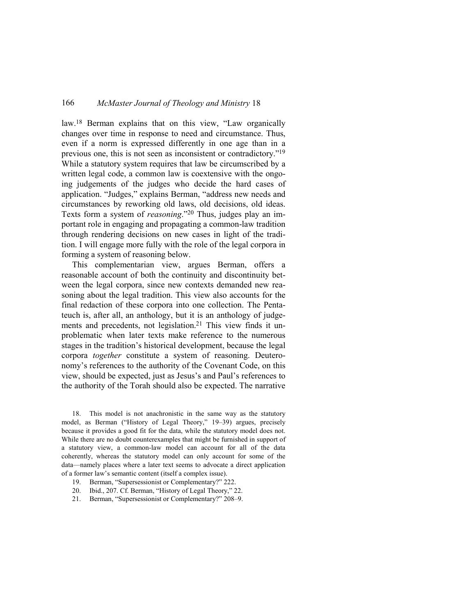law.18 Berman explains that on this view, "Law organically changes over time in response to need and circumstance. Thus, even if a norm is expressed differently in one age than in a previous one, this is not seen as inconsistent or contradictory."<sup>19</sup> While a statutory system requires that law be circumscribed by a written legal code, a common law is coextensive with the ongoing judgements of the judges who decide the hard cases of application. "Judges," explains Berman, "address new needs and circumstances by reworking old laws, old decisions, old ideas. Texts form a system of *reasoning*."20 Thus, judges play an important role in engaging and propagating a common-law tradition through rendering decisions on new cases in light of the tradition. I will engage more fully with the role of the legal corpora in forming a system of reasoning below.

This complementarian view, argues Berman, offers a reasonable account of both the continuity and discontinuity between the legal corpora, since new contexts demanded new reasoning about the legal tradition. This view also accounts for the final redaction of these corpora into one collection. The Pentateuch is, after all, an anthology, but it is an anthology of judgements and precedents, not legislation.<sup>21</sup> This view finds it unproblematic when later texts make reference to the numerous stages in the tradition's historical development, because the legal corpora *together* constitute a system of reasoning. Deuteronomy's references to the authority of the Covenant Code, on this view, should be expected, just as Jesus's and Paul's references to the authority of the Torah should also be expected. The narrative

18. This model is not anachronistic in the same way as the statutory model, as Berman ("History of Legal Theory," 19–39) argues, precisely because it provides a good fit for the data, while the statutory model does not. While there are no doubt counterexamples that might be furnished in support of a statutory view, a common-law model can account for all of the data coherently, whereas the statutory model can only account for some of the data—namely places where a later text seems to advocate a direct application of a former law's semantic content (itself a complex issue).

- 19. Berman, "Supersessionist or Complementary?" 222.
- 20. Ibid., 207. Cf. Berman, "History of Legal Theory," 22.
- 21. Berman, "Supersessionist or Complementary?" 208–9.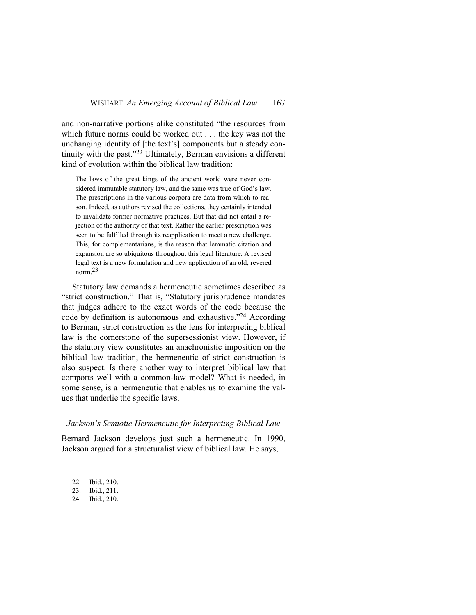and non-narrative portions alike constituted "the resources from which future norms could be worked out . . . the key was not the unchanging identity of [the text's] components but a steady continuity with the past."22 Ultimately, Berman envisions a different kind of evolution within the biblical law tradition:

The laws of the great kings of the ancient world were never considered immutable statutory law, and the same was true of God's law. The prescriptions in the various corpora are data from which to reason. Indeed, as authors revised the collections, they certainly intended to invalidate former normative practices. But that did not entail a rejection of the authority of that text. Rather the earlier prescription was seen to be fulfilled through its reapplication to meet a new challenge. This, for complementarians, is the reason that lemmatic citation and expansion are so ubiquitous throughout this legal literature. A revised legal text is a new formulation and new application of an old, revered norm.23

Statutory law demands a hermeneutic sometimes described as "strict construction." That is, "Statutory jurisprudence mandates that judges adhere to the exact words of the code because the code by definition is autonomous and exhaustive."24 According to Berman, strict construction as the lens for interpreting biblical law is the cornerstone of the supersessionist view. However, if the statutory view constitutes an anachronistic imposition on the biblical law tradition, the hermeneutic of strict construction is also suspect. Is there another way to interpret biblical law that comports well with a common-law model? What is needed, in some sense, is a hermeneutic that enables us to examine the values that underlie the specific laws.

### *Jackson's Semiotic Hermeneutic for Interpreting Biblical Law*

Bernard Jackson develops just such a hermeneutic. In 1990, Jackson argued for a structuralist view of biblical law. He says,

| 22.    | Ibid., 210. |        |
|--------|-------------|--------|
| $\sim$ | --          | $\sim$ |

- 23. Ibid., 211.
- 24. Ibid., 210.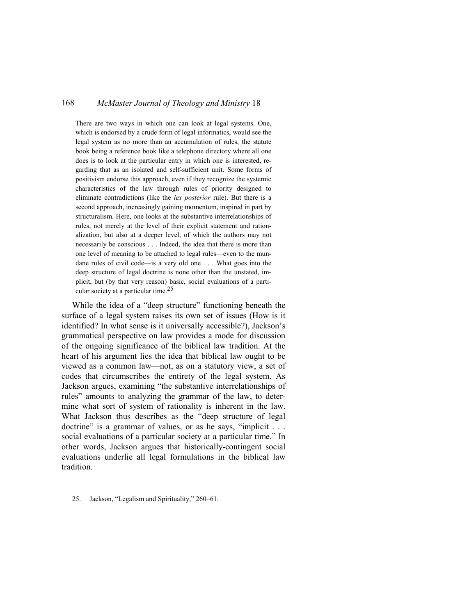There are two ways in which one can look at legal systems. One, which is endorsed by a crude form of legal informatics, would see the legal system as no more than an accumulation of rules, the statute book being a reference book like a telephone directory where all one does is to look at the particular entry in which one is interested, regarding that as an isolated and self-sufficient unit. Some forms of positivism endorse this approach, even if they recognize the systemic characteristics of the law through rules of priority designed to eliminate contradictions (like the *lex posterior* rule). But there is a second approach, increasingly gaining momentum, inspired in part by structuralism. Here, one looks at the substantive interrelationships of rules, not merely at the level of their explicit statement and rationalization, but also at a deeper level, of which the authors may not necessarily be conscious . . . Indeed, the idea that there is more than one level of meaning to be attached to legal rules—even to the mundane rules of civil code—is a very old one . . . What goes into the deep structure of legal doctrine is none other than the unstated, implicit, but (by that very reason) basic, social evaluations of a particular society at a particular time.25

While the idea of a "deep structure" functioning beneath the surface of a legal system raises its own set of issues (How is it identified? In what sense is it universally accessible?), Jackson's grammatical perspective on law provides a mode for discussion of the ongoing significance of the biblical law tradition. At the heart of his argument lies the idea that biblical law ought to be viewed as a common law—not, as on a statutory view, a set of codes that circumscribes the entirety of the legal system. As Jackson argues, examining "the substantive interrelationships of rules" amounts to analyzing the grammar of the law, to determine what sort of system of rationality is inherent in the law. What Jackson thus describes as the "deep structure of legal doctrine" is a grammar of values, or as he says, "implicit . . . social evaluations of a particular society at a particular time." In other words, Jackson argues that historically-contingent social evaluations underlie all legal formulations in the biblical law tradition.

<sup>25.</sup> Jackson, "Legalism and Spirituality," 260–61.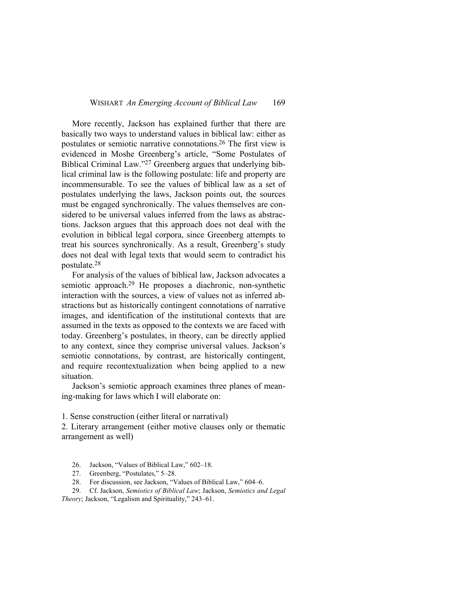More recently, Jackson has explained further that there are basically two ways to understand values in biblical law: either as postulates or semiotic narrative connotations.26 The first view is evidenced in Moshe Greenberg's article, "Some Postulates of Biblical Criminal Law."27 Greenberg argues that underlying biblical criminal law is the following postulate: life and property are incommensurable. To see the values of biblical law as a set of postulates underlying the laws, Jackson points out, the sources must be engaged synchronically. The values themselves are considered to be universal values inferred from the laws as abstractions. Jackson argues that this approach does not deal with the evolution in biblical legal corpora, since Greenberg attempts to treat his sources synchronically. As a result, Greenberg's study does not deal with legal texts that would seem to contradict his postulate.<sup>28</sup>

For analysis of the values of biblical law, Jackson advocates a semiotic approach.29 He proposes a diachronic, non-synthetic interaction with the sources, a view of values not as inferred abstractions but as historically contingent connotations of narrative images, and identification of the institutional contexts that are assumed in the texts as opposed to the contexts we are faced with today. Greenberg's postulates, in theory, can be directly applied to any context, since they comprise universal values. Jackson's semiotic connotations, by contrast, are historically contingent, and require recontextualization when being applied to a new situation.

Jackson's semiotic approach examines three planes of meaning-making for laws which I will elaborate on:

1. Sense construction (either literal or narratival)

2. Literary arrangement (either motive clauses only or thematic arrangement as well)

26. Jackson, "Values of Biblical Law," 602–18.

27. Greenberg, "Postulates," 5–28.

28. For discussion, see Jackson, "Values of Biblical Law," 604–6.

29. Cf. Jackson, *Semiotics of Biblical Law*; Jackson, *Semiotics and Legal Theory*; Jackson, "Legalism and Spirituality," 243–61.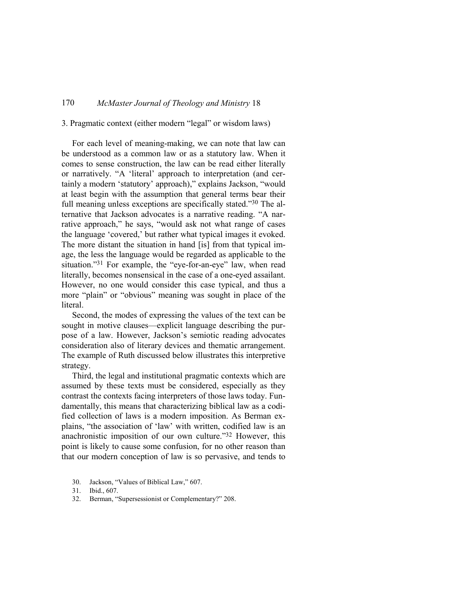# 3. Pragmatic context (either modern "legal" or wisdom laws)

For each level of meaning-making, we can note that law can be understood as a common law or as a statutory law. When it comes to sense construction, the law can be read either literally or narratively. "A 'literal' approach to interpretation (and certainly a modern 'statutory' approach)," explains Jackson, "would at least begin with the assumption that general terms bear their full meaning unless exceptions are specifically stated."30 The alternative that Jackson advocates is a narrative reading. "A narrative approach," he says, "would ask not what range of cases the language 'covered,' but rather what typical images it evoked. The more distant the situation in hand [is] from that typical image, the less the language would be regarded as applicable to the situation."31 For example, the "eye-for-an-eye" law, when read literally, becomes nonsensical in the case of a one-eyed assailant. However, no one would consider this case typical, and thus a more "plain" or "obvious" meaning was sought in place of the literal.

Second, the modes of expressing the values of the text can be sought in motive clauses—explicit language describing the purpose of a law. However, Jackson's semiotic reading advocates consideration also of literary devices and thematic arrangement. The example of Ruth discussed below illustrates this interpretive strategy.

Third, the legal and institutional pragmatic contexts which are assumed by these texts must be considered, especially as they contrast the contexts facing interpreters of those laws today. Fundamentally, this means that characterizing biblical law as a codified collection of laws is a modern imposition. As Berman explains, "the association of 'law' with written, codified law is an anachronistic imposition of our own culture."32 However, this point is likely to cause some confusion, for no other reason than that our modern conception of law is so pervasive, and tends to

- 30. Jackson, "Values of Biblical Law," 607.
- 31. Ibid., 607.
- 32. Berman, "Supersessionist or Complementary?" 208.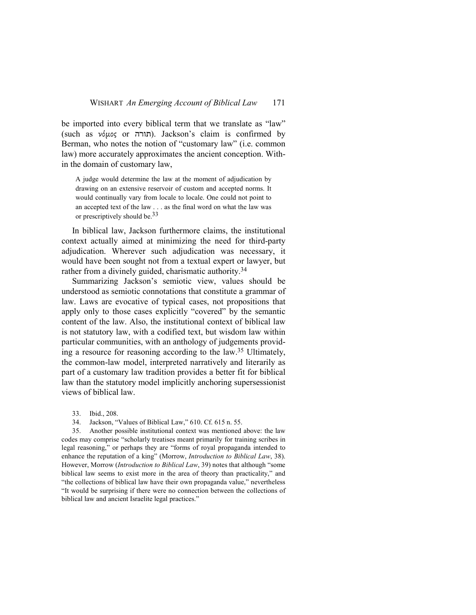be imported into every biblical term that we translate as "law" (such as νόμος or תורה). Jackson's claim is confirmed by Berman, who notes the notion of "customary law" (i.e. common law) more accurately approximates the ancient conception. Within the domain of customary law,

A judge would determine the law at the moment of adjudication by drawing on an extensive reservoir of custom and accepted norms. It would continually vary from locale to locale. One could not point to an accepted text of the law . . . as the final word on what the law was or prescriptively should be.  $33$ 

In biblical law, Jackson furthermore claims, the institutional context actually aimed at minimizing the need for third-party adjudication. Wherever such adjudication was necessary, it would have been sought not from a textual expert or lawyer, but rather from a divinely guided, charismatic authority.<sup>34</sup>

Summarizing Jackson's semiotic view, values should be understood as semiotic connotations that constitute a grammar of law. Laws are evocative of typical cases, not propositions that apply only to those cases explicitly "covered" by the semantic content of the law. Also, the institutional context of biblical law is not statutory law, with a codified text, but wisdom law within particular communities, with an anthology of judgements providing a resource for reasoning according to the law.35 Ultimately, the common-law model, interpreted narratively and literarily as part of a customary law tradition provides a better fit for biblical law than the statutory model implicitly anchoring supersessionist views of biblical law.

33. Ibid., 208.

34. Jackson, "Values of Biblical Law," 610. Cf. 615 n. 55.

35. Another possible institutional context was mentioned above: the law codes may comprise "scholarly treatises meant primarily for training scribes in legal reasoning," or perhaps they are "forms of royal propaganda intended to enhance the reputation of a king" (Morrow, *Introduction to Biblical Law*, 38). However, Morrow (*Introduction to Biblical Law*, 39) notes that although "some biblical law seems to exist more in the area of theory than practicality," and "the collections of biblical law have their own propaganda value," nevertheless "It would be surprising if there were no connection between the collections of biblical law and ancient Israelite legal practices."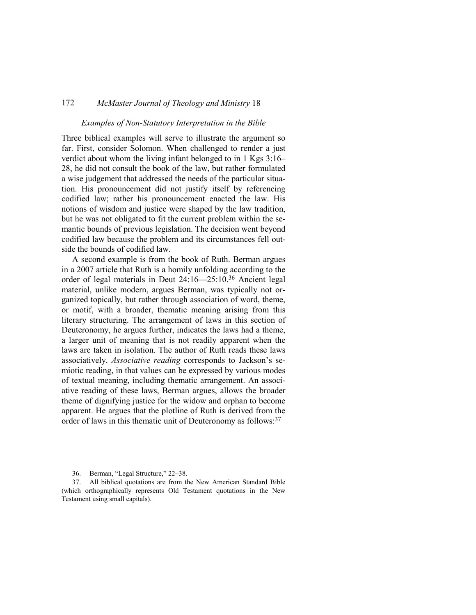#### *Examples of Non-Statutory Interpretation in the Bible*

Three biblical examples will serve to illustrate the argument so far. First, consider Solomon. When challenged to render a just verdict about whom the living infant belonged to in 1 Kgs 3:16– 28, he did not consult the book of the law, but rather formulated a wise judgement that addressed the needs of the particular situation. His pronouncement did not justify itself by referencing codified law; rather his pronouncement enacted the law. His notions of wisdom and justice were shaped by the law tradition, but he was not obligated to fit the current problem within the semantic bounds of previous legislation. The decision went beyond codified law because the problem and its circumstances fell outside the bounds of codified law.

A second example is from the book of Ruth. Berman argues in a 2007 article that Ruth is a homily unfolding according to the order of legal materials in Deut 24:16—25:10.36 Ancient legal material, unlike modern, argues Berman, was typically not organized topically, but rather through association of word, theme, or motif, with a broader, thematic meaning arising from this literary structuring. The arrangement of laws in this section of Deuteronomy, he argues further, indicates the laws had a theme, a larger unit of meaning that is not readily apparent when the laws are taken in isolation. The author of Ruth reads these laws associatively. *Associative reading* corresponds to Jackson's semiotic reading, in that values can be expressed by various modes of textual meaning, including thematic arrangement. An associative reading of these laws, Berman argues, allows the broader theme of dignifying justice for the widow and orphan to become apparent. He argues that the plotline of Ruth is derived from the order of laws in this thematic unit of Deuteronomy as follows:<sup>37</sup>

37. All biblical quotations are from the New American Standard Bible (which orthographically represents Old Testament quotations in the New Testament using small capitals).

<sup>36.</sup> Berman, "Legal Structure," 22–38.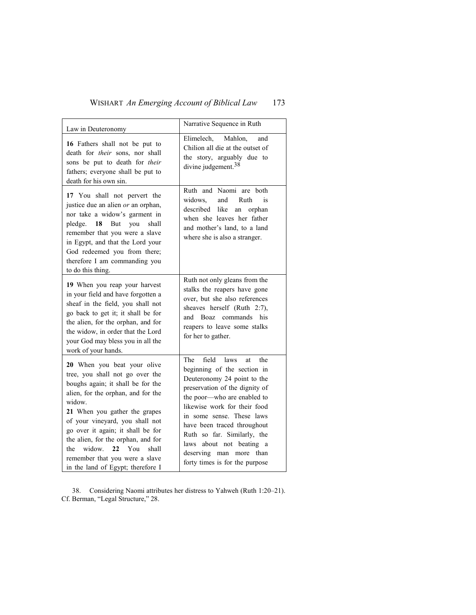# WISHART *An Emerging Account of Biblical Law* 173

| Law in Deuteronomy                                                                                                                                                                                                                                                                                                                                                                                                      | Narrative Sequence in Ruth                                                                                                                                                                                                                                                                                                                                                              |
|-------------------------------------------------------------------------------------------------------------------------------------------------------------------------------------------------------------------------------------------------------------------------------------------------------------------------------------------------------------------------------------------------------------------------|-----------------------------------------------------------------------------------------------------------------------------------------------------------------------------------------------------------------------------------------------------------------------------------------------------------------------------------------------------------------------------------------|
| 16 Fathers shall not be put to<br>death for their sons, nor shall<br>sons be put to death for their<br>fathers; everyone shall be put to<br>death for his own sin.                                                                                                                                                                                                                                                      | Mahlon.<br>Elimelech,<br>and<br>Chilion all die at the outset of<br>the story, arguably due to<br>divine judgement. <sup>38</sup>                                                                                                                                                                                                                                                       |
| 17 You shall not pervert the<br>justice due an alien or an orphan,<br>nor take a widow's garment in<br>pledge.<br>-18<br>But<br>you<br>shall<br>remember that you were a slave<br>in Egypt, and that the Lord your<br>God redeemed you from there;<br>therefore I am commanding you<br>to do this thing.                                                                                                                | Ruth and Naomi are both<br>widows.<br>and<br>Ruth<br>is<br>described<br>like<br>an<br>orphan<br>when she leaves her father<br>and mother's land, to a land<br>where she is also a stranger.                                                                                                                                                                                             |
| 19 When you reap your harvest<br>in your field and have forgotten a<br>sheaf in the field, you shall not<br>go back to get it; it shall be for<br>the alien, for the orphan, and for<br>the widow, in order that the Lord<br>your God may bless you in all the<br>work of your hands.                                                                                                                                   | Ruth not only gleans from the<br>stalks the reapers have gone<br>over, but she also references<br>sheaves herself (Ruth 2:7),<br>commands his<br>and<br>Boaz<br>reapers to leave some stalks<br>for her to gather.                                                                                                                                                                      |
| 20 When you beat your olive<br>tree, you shall not go over the<br>boughs again; it shall be for the<br>alien, for the orphan, and for the<br>widow.<br>21 When you gather the grapes<br>of your vineyard, you shall not<br>go over it again; it shall be for<br>the alien, for the orphan, and for<br>widow.<br>$22 \text{ You}$<br>the<br>shall<br>remember that you were a slave<br>in the land of Egypt; therefore I | field laws<br>The<br>the<br>at<br>beginning of the section in<br>Deuteronomy 24 point to the<br>preservation of the dignity of<br>the poor-who are enabled to<br>likewise work for their food<br>in some sense. These laws<br>have been traced throughout<br>Ruth so far. Similarly, the<br>about not beating a<br>laws<br>deserving man more<br>than<br>forty times is for the purpose |

38. Considering Naomi attributes her distress to Yahweh (Ruth 1:20–21). Cf. Berman, "Legal Structure," 28.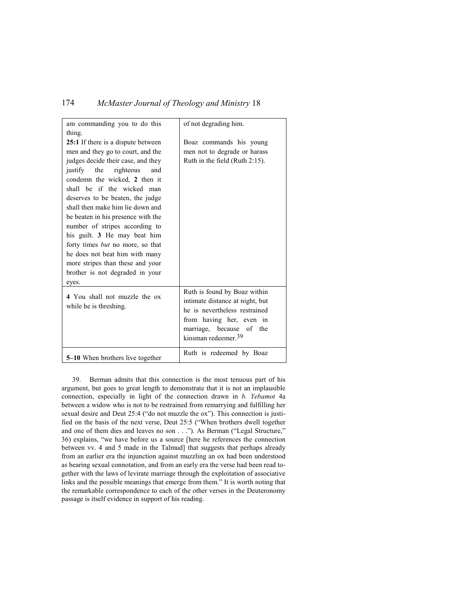| am commanding you to do this            | of not degrading him.             |
|-----------------------------------------|-----------------------------------|
| thing.                                  |                                   |
| 25:1 If there is a dispute between      | Boaz commands his young           |
| men and they go to court, and the       | men not to degrade or harass      |
| judges decide their case, and they      | Ruth in the field (Ruth $2:15$ ). |
| justify<br>the<br>righteous<br>and      |                                   |
| condemn the wicked, 2 then it           |                                   |
| shall be if the wicked man              |                                   |
| deserves to be beaten, the judge        |                                   |
| shall then make him lie down and        |                                   |
| be beaten in his presence with the      |                                   |
| number of stripes according to          |                                   |
| his guilt. 3 He may beat him            |                                   |
| forty times <i>but</i> no more, so that |                                   |
| he does not beat him with many          |                                   |
| more stripes than these and your        |                                   |
| brother is not degraded in your         |                                   |
| eyes.                                   |                                   |
| 4 You shall not muzzle the ox           | Ruth is found by Boaz within      |
| while he is threshing.                  | intimate distance at night, but   |
|                                         | he is nevertheless restrained     |
|                                         | from having her, even in          |
|                                         | marriage, because of the          |
|                                         | kinsman redeemer. <sup>39</sup>   |
| 5-10 When brothers live together        | Ruth is redeemed by Boaz          |

39. Berman admits that this connection is the most tenuous part of his argument, but goes to great length to demonstrate that it is not an implausible connection, especially in light of the connection drawn in *b. Yebamot* 4a between a widow who is not to be restrained from remarrying and fulfilling her sexual desire and Deut 25:4 ("do not muzzle the ox"). This connection is justified on the basis of the next verse, Deut 25:5 ("When brothers dwell together and one of them dies and leaves no son . . ."). As Berman ("Legal Structure," 36) explains, "we have before us a source [here he references the connection between vv. 4 and 5 made in the Talmud] that suggests that perhaps already from an earlier era the injunction against muzzling an ox had been understood as bearing sexual connotation, and from an early era the verse had been read together with the laws of levirate marriage through the exploitation of associative links and the possible meanings that emerge from them." It is worth noting that the remarkable correspondence to each of the other verses in the Deuteronomy passage is itself evidence in support of his reading.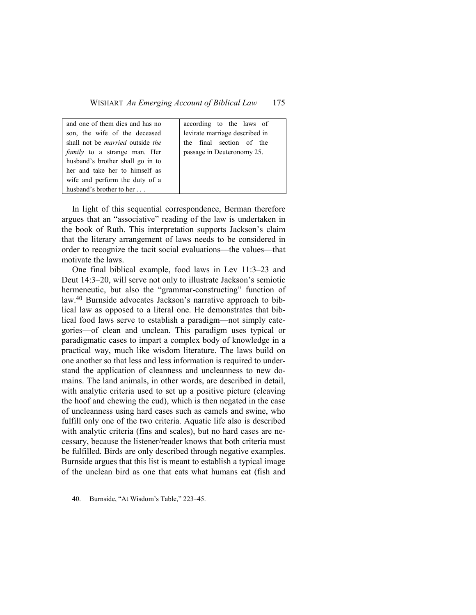| and one of them dies and has no                | according to the laws of       |
|------------------------------------------------|--------------------------------|
| son, the wife of the deceased                  | levirate marriage described in |
| shall not be <i>married</i> outside <i>the</i> | the final section of the       |
| <i>family</i> to a strange man. Her            | passage in Deuteronomy 25.     |
| husband's brother shall go in to               |                                |
| her and take her to himself as                 |                                |
| wife and perform the duty of a                 |                                |
| husband's brother to her $\ldots$              |                                |

In light of this sequential correspondence, Berman therefore argues that an "associative" reading of the law is undertaken in the book of Ruth. This interpretation supports Jackson's claim that the literary arrangement of laws needs to be considered in order to recognize the tacit social evaluations—the values—that motivate the laws.

One final biblical example, food laws in Lev 11:3–23 and Deut 14:3–20, will serve not only to illustrate Jackson's semiotic hermeneutic, but also the "grammar-constructing" function of law.40 Burnside advocates Jackson's narrative approach to biblical law as opposed to a literal one. He demonstrates that biblical food laws serve to establish a paradigm—not simply categories—of clean and unclean. This paradigm uses typical or paradigmatic cases to impart a complex body of knowledge in a practical way, much like wisdom literature. The laws build on one another so that less and less information is required to understand the application of cleanness and uncleanness to new domains. The land animals, in other words, are described in detail, with analytic criteria used to set up a positive picture (cleaving the hoof and chewing the cud), which is then negated in the case of uncleanness using hard cases such as camels and swine, who fulfill only one of the two criteria. Aquatic life also is described with analytic criteria (fins and scales), but no hard cases are necessary, because the listener/reader knows that both criteria must be fulfilled. Birds are only described through negative examples. Burnside argues that this list is meant to establish a typical image of the unclean bird as one that eats what humans eat (fish and

40. Burnside, "At Wisdom's Table," 223–45.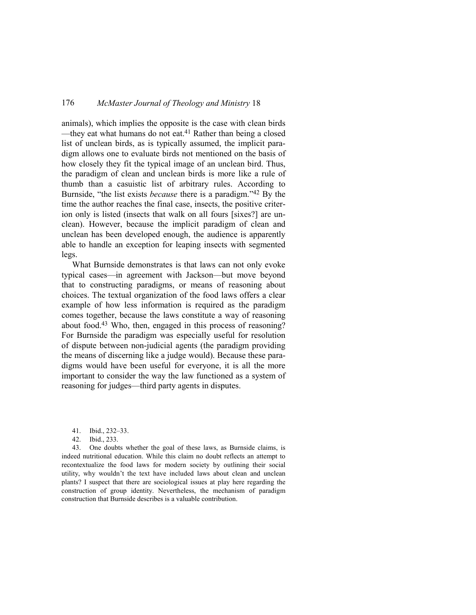animals), which implies the opposite is the case with clean birds —they eat what humans do not eat.<sup>41</sup> Rather than being a closed list of unclean birds, as is typically assumed, the implicit paradigm allows one to evaluate birds not mentioned on the basis of how closely they fit the typical image of an unclean bird. Thus, the paradigm of clean and unclean birds is more like a rule of thumb than a casuistic list of arbitrary rules. According to Burnside, "the list exists *because* there is a paradigm."42 By the time the author reaches the final case, insects, the positive criterion only is listed (insects that walk on all fours [sixes?] are unclean). However, because the implicit paradigm of clean and unclean has been developed enough, the audience is apparently able to handle an exception for leaping insects with segmented legs.

What Burnside demonstrates is that laws can not only evoke typical cases—in agreement with Jackson—but move beyond that to constructing paradigms, or means of reasoning about choices. The textual organization of the food laws offers a clear example of how less information is required as the paradigm comes together, because the laws constitute a way of reasoning about food.43 Who, then, engaged in this process of reasoning? For Burnside the paradigm was especially useful for resolution of dispute between non-judicial agents (the paradigm providing the means of discerning like a judge would). Because these paradigms would have been useful for everyone, it is all the more important to consider the way the law functioned as a system of reasoning for judges—third party agents in disputes.

42. Ibid., 233.

43. One doubts whether the goal of these laws, as Burnside claims, is indeed nutritional education. While this claim no doubt reflects an attempt to recontextualize the food laws for modern society by outlining their social utility, why wouldn't the text have included laws about clean and unclean plants? I suspect that there are sociological issues at play here regarding the construction of group identity. Nevertheless, the mechanism of paradigm construction that Burnside describes is a valuable contribution.

<sup>41.</sup> Ibid., 232–33.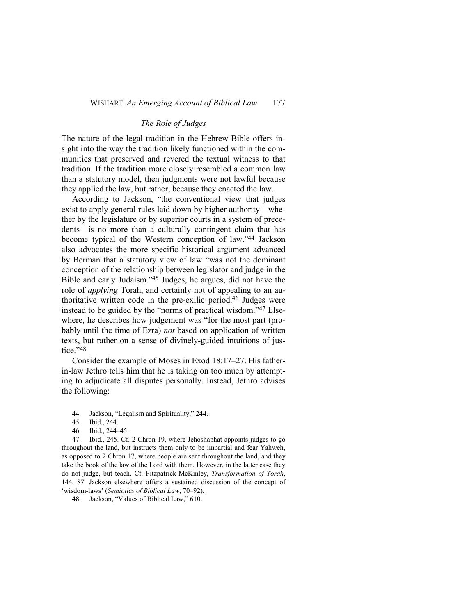# *The Role of Judges*

The nature of the legal tradition in the Hebrew Bible offers insight into the way the tradition likely functioned within the communities that preserved and revered the textual witness to that tradition. If the tradition more closely resembled a common law than a statutory model, then judgments were not lawful because they applied the law, but rather, because they enacted the law.

According to Jackson, "the conventional view that judges exist to apply general rules laid down by higher authority—whether by the legislature or by superior courts in a system of precedents—is no more than a culturally contingent claim that has become typical of the Western conception of law."44 Jackson also advocates the more specific historical argument advanced by Berman that a statutory view of law "was not the dominant conception of the relationship between legislator and judge in the Bible and early Judaism."45 Judges, he argues, did not have the role of *applying* Torah, and certainly not of appealing to an authoritative written code in the pre-exilic period.46 Judges were instead to be guided by the "norms of practical wisdom."47 Elsewhere, he describes how judgement was "for the most part (probably until the time of Ezra) *not* based on application of written texts, but rather on a sense of divinely-guided intuitions of justice."48

Consider the example of Moses in Exod 18:17–27. His fatherin-law Jethro tells him that he is taking on too much by attempting to adjudicate all disputes personally. Instead, Jethro advises the following:

- 44. Jackson, "Legalism and Spirituality," 244.
- 45. Ibid., 244.
- 46. Ibid., 244–45.

47. Ibid., 245. Cf. 2 Chron 19, where Jehoshaphat appoints judges to go throughout the land, but instructs them only to be impartial and fear Yahweh, as opposed to 2 Chron 17, where people are sent throughout the land, and they take the book of the law of the Lord with them. However, in the latter case they do not judge, but teach. Cf. Fitzpatrick-McKinley, *Transformation of Torah*, 144, 87. Jackson elsewhere offers a sustained discussion of the concept of 'wisdom-laws' (*Semiotics of Biblical Law*, 70–92).

48. Jackson, "Values of Biblical Law," 610.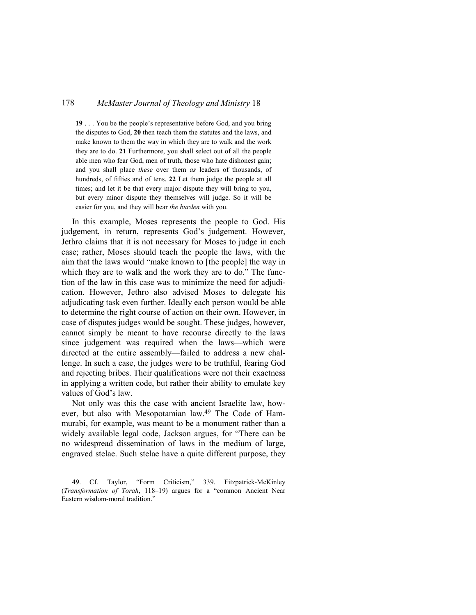**19** . . . You be the people's representative before God, and you bring the disputes to God, **20** then teach them the statutes and the laws, and make known to them the way in which they are to walk and the work they are to do. **21** Furthermore, you shall select out of all the people able men who fear God, men of truth, those who hate dishonest gain; and you shall place *these* over them *as* leaders of thousands, of hundreds, of fifties and of tens. **22** Let them judge the people at all times; and let it be that every major dispute they will bring to you, but every minor dispute they themselves will judge. So it will be easier for you, and they will bear *the burden* with you.

In this example, Moses represents the people to God. His judgement, in return, represents God's judgement. However, Jethro claims that it is not necessary for Moses to judge in each case; rather, Moses should teach the people the laws, with the aim that the laws would "make known to [the people] the way in which they are to walk and the work they are to do." The function of the law in this case was to minimize the need for adjudication. However, Jethro also advised Moses to delegate his adjudicating task even further. Ideally each person would be able to determine the right course of action on their own. However, in case of disputes judges would be sought. These judges, however, cannot simply be meant to have recourse directly to the laws since judgement was required when the laws—which were directed at the entire assembly—failed to address a new challenge. In such a case, the judges were to be truthful, fearing God and rejecting bribes. Their qualifications were not their exactness in applying a written code, but rather their ability to emulate key values of God's law.

Not only was this the case with ancient Israelite law, however, but also with Mesopotamian law.49 The Code of Hammurabi, for example, was meant to be a monument rather than a widely available legal code, Jackson argues, for "There can be no widespread dissemination of laws in the medium of large, engraved stelae. Such stelae have a quite different purpose, they

49. Cf. Taylor, "Form Criticism," 339. Fitzpatrick-McKinley (*Transformation of Torah*, 118–19) argues for a "common Ancient Near Eastern wisdom-moral tradition."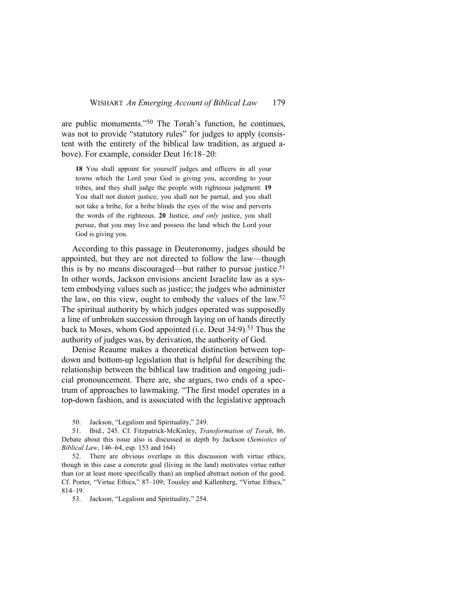are public monuments."50 The Torah's function, he continues, was not to provide "statutory rules" for judges to apply (consistent with the entirety of the biblical law tradition, as argued above). For example, consider Deut 16:18–20:

**18** You shall appoint for yourself judges and officers in all your towns which the Lord your God is giving you, according to your tribes, and they shall judge the people with righteous judgment. **19**  You shall not distort justice; you shall not be partial, and you shall not take a bribe, for a bribe blinds the eyes of the wise and perverts the words of the righteous. **20** Justice, *and only* justice, you shall pursue, that you may live and possess the land which the Lord your God is giving you.

According to this passage in Deuteronomy, judges should be appointed, but they are not directed to follow the law—though this is by no means discouraged—but rather to pursue justice.<sup>51</sup> In other words, Jackson envisions ancient Israelite law as a system embodying values such as justice; the judges who administer the law, on this view, ought to embody the values of the law.<sup>52</sup> The spiritual authority by which judges operated was supposedly a line of unbroken succession through laying on of hands directly back to Moses, whom God appointed (i.e. Deut 34:9).<sup>53</sup> Thus the authority of judges was, by derivation, the authority of God.

Denise Reaume makes a theoretical distinction between topdown and bottom-up legislation that is helpful for describing the relationship between the biblical law tradition and ongoing judicial pronouncement. There are, she argues, two ends of a spectrum of approaches to lawmaking. "The first model operates in a top-down fashion, and is associated with the legislative approach

50. Jackson, "Legalism and Spirituality," 249.

51. Ibid., 245. Cf. Fitzpatrick-McKinley, *Transformation of Torah*, 86. Debate about this issue also is discussed in depth by Jackson (*Semiotics of Biblical Law*, 146–64, esp. 153 and 164)

52. There are obvious overlaps in this discussion with virtue ethics, though in this case a concrete goal (living in the land) motivates virtue rather than (or at least more specifically than) an implied abstract notion of the good. Cf. Porter, "Virtue Ethics," 87–109; Tousley and Kallenberg, "Virtue Ethics," 814–19.

53. Jackson, "Legalism and Spirituality," 254.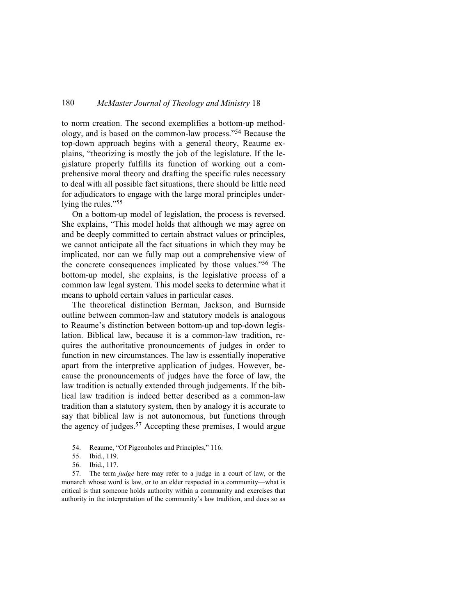to norm creation. The second exemplifies a bottom-up methodology, and is based on the common-law process."54 Because the top-down approach begins with a general theory, Reaume explains, "theorizing is mostly the job of the legislature. If the legislature properly fulfills its function of working out a comprehensive moral theory and drafting the specific rules necessary to deal with all possible fact situations, there should be little need for adjudicators to engage with the large moral principles underlying the rules."<sup>55</sup>

On a bottom-up model of legislation, the process is reversed. She explains, "This model holds that although we may agree on and be deeply committed to certain abstract values or principles, we cannot anticipate all the fact situations in which they may be implicated, nor can we fully map out a comprehensive view of the concrete consequences implicated by those values."56 The bottom-up model, she explains, is the legislative process of a common law legal system. This model seeks to determine what it means to uphold certain values in particular cases.

The theoretical distinction Berman, Jackson, and Burnside outline between common-law and statutory models is analogous to Reaume's distinction between bottom-up and top-down legislation. Biblical law, because it is a common-law tradition, requires the authoritative pronouncements of judges in order to function in new circumstances. The law is essentially inoperative apart from the interpretive application of judges. However, because the pronouncements of judges have the force of law, the law tradition is actually extended through judgements. If the biblical law tradition is indeed better described as a common-law tradition than a statutory system, then by analogy it is accurate to say that biblical law is not autonomous, but functions through the agency of judges.<sup>57</sup> Accepting these premises, I would argue

- 54. Reaume, "Of Pigeonholes and Principles," 116.
- 55. Ibid., 119.
- 56. Ibid., 117.

57. The term *judge* here may refer to a judge in a court of law, or the monarch whose word is law, or to an elder respected in a community—what is critical is that someone holds authority within a community and exercises that authority in the interpretation of the community's law tradition, and does so as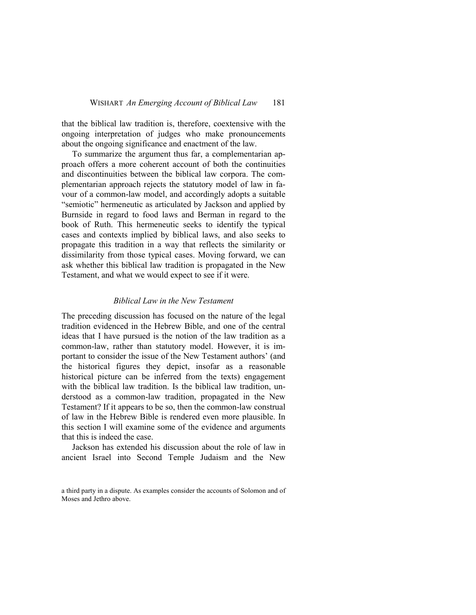that the biblical law tradition is, therefore, coextensive with the ongoing interpretation of judges who make pronouncements about the ongoing significance and enactment of the law.

To summarize the argument thus far, a complementarian approach offers a more coherent account of both the continuities and discontinuities between the biblical law corpora. The complementarian approach rejects the statutory model of law in favour of a common-law model, and accordingly adopts a suitable "semiotic" hermeneutic as articulated by Jackson and applied by Burnside in regard to food laws and Berman in regard to the book of Ruth. This hermeneutic seeks to identify the typical cases and contexts implied by biblical laws, and also seeks to propagate this tradition in a way that reflects the similarity or dissimilarity from those typical cases. Moving forward, we can ask whether this biblical law tradition is propagated in the New Testament, and what we would expect to see if it were.

# *Biblical Law in the New Testament*

The preceding discussion has focused on the nature of the legal tradition evidenced in the Hebrew Bible, and one of the central ideas that I have pursued is the notion of the law tradition as a common-law, rather than statutory model. However, it is important to consider the issue of the New Testament authors' (and the historical figures they depict, insofar as a reasonable historical picture can be inferred from the texts) engagement with the biblical law tradition. Is the biblical law tradition, understood as a common-law tradition, propagated in the New Testament? If it appears to be so, then the common-law construal of law in the Hebrew Bible is rendered even more plausible. In this section I will examine some of the evidence and arguments that this is indeed the case.

Jackson has extended his discussion about the role of law in ancient Israel into Second Temple Judaism and the New

a third party in a dispute. As examples consider the accounts of Solomon and of Moses and Jethro above.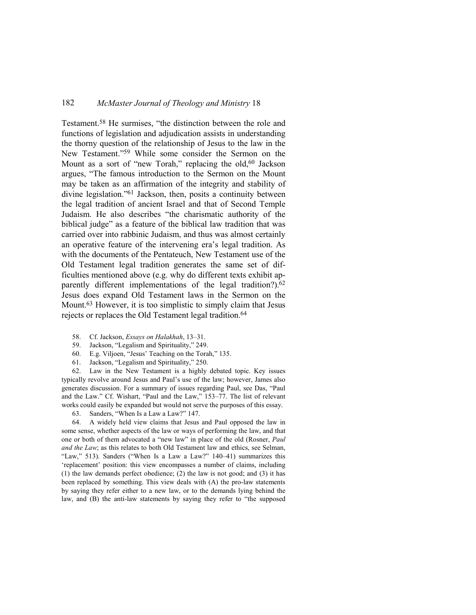Testament.58 He surmises, "the distinction between the role and functions of legislation and adjudication assists in understanding the thorny question of the relationship of Jesus to the law in the New Testament."59 While some consider the Sermon on the Mount as a sort of "new Torah," replacing the old,<sup>60</sup> Jackson argues, "The famous introduction to the Sermon on the Mount may be taken as an affirmation of the integrity and stability of divine legislation."61 Jackson, then, posits a continuity between the legal tradition of ancient Israel and that of Second Temple Judaism. He also describes "the charismatic authority of the biblical judge" as a feature of the biblical law tradition that was carried over into rabbinic Judaism, and thus was almost certainly an operative feature of the intervening era's legal tradition. As with the documents of the Pentateuch, New Testament use of the Old Testament legal tradition generates the same set of difficulties mentioned above (e.g. why do different texts exhibit apparently different implementations of the legal tradition?).<sup>62</sup> Jesus does expand Old Testament laws in the Sermon on the Mount.63 However, it is too simplistic to simply claim that Jesus rejects or replaces the Old Testament legal tradition.<sup>64</sup>

- 58. Cf. Jackson, *Essays on Halakhah*, 13–31.
- 59. Jackson, "Legalism and Spirituality," 249.
- 60. E.g. Viljoen, "Jesus' Teaching on the Torah," 135.
- 61. Jackson, "Legalism and Spirituality," 250.

62. Law in the New Testament is a highly debated topic. Key issues typically revolve around Jesus and Paul's use of the law; however, James also generates discussion. For a summary of issues regarding Paul, see Das, "Paul and the Law." Cf. Wishart, "Paul and the Law," 153–77. The list of relevant works could easily be expanded but would not serve the purposes of this essay.

63. Sanders, "When Is a Law a Law?" 147.

64. A widely held view claims that Jesus and Paul opposed the law in some sense, whether aspects of the law or ways of performing the law, and that one or both of them advocated a "new law" in place of the old (Rosner, *Paul and the Law*; as this relates to both Old Testament law and ethics, see Selman, "Law," 513). Sanders ("When Is a Law a Law?" 140–41) summarizes this 'replacement' position: this view encompasses a number of claims, including (1) the law demands perfect obedience; (2) the law is not good; and (3) it has been replaced by something. This view deals with (A) the pro-law statements by saying they refer either to a new law, or to the demands lying behind the law, and (B) the anti-law statements by saying they refer to "the supposed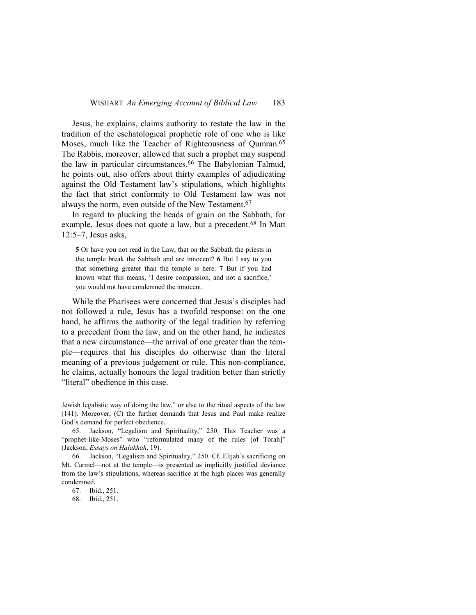Jesus, he explains, claims authority to restate the law in the tradition of the eschatological prophetic role of one who is like Moses, much like the Teacher of Righteousness of Qumran.<sup>65</sup> The Rabbis, moreover, allowed that such a prophet may suspend the law in particular circumstances.66 The Babylonian Talmud, he points out, also offers about thirty examples of adjudicating against the Old Testament law's stipulations, which highlights the fact that strict conformity to Old Testament law was not always the norm, even outside of the New Testament.<sup>67</sup>

In regard to plucking the heads of grain on the Sabbath, for example, Jesus does not quote a law, but a precedent.<sup>68</sup> In Matt 12:5–7, Jesus asks,

**5** Or have you not read in the Law, that on the Sabbath the priests in the temple break the Sabbath and are innocent? **6** But I say to you that something greater than the temple is here. **7** But if you had known what this means, 'I desire compassion, and not a sacrifice,' you would not have condemned the innocent.

While the Pharisees were concerned that Jesus's disciples had not followed a rule, Jesus has a twofold response: on the one hand, he affirms the authority of the legal tradition by referring to a precedent from the law, and on the other hand, he indicates that a new circumstance—the arrival of one greater than the temple—requires that his disciples do otherwise than the literal meaning of a previous judgement or rule. This non-compliance, he claims, actually honours the legal tradition better than strictly "literal" obedience in this case.

Jewish legalistic way of doing the law," or else to the ritual aspects of the law (141). Moreover, (C) the further demands that Jesus and Paul make realize God's demand for perfect obedience.

65. Jackson, "Legalism and Spirituality," 250. This Teacher was a "prophet-like-Moses" who "reformulated many of the rules [of Torah]" (Jackson, *Essays on Halakhah*, 19).

66. Jackson, "Legalism and Spirituality," 250. Cf. Elijah's sacrificing on Mt. Carmel—not at the temple—is presented as implicitly justified deviance from the law's stipulations, whereas sacrifice at the high places was generally condemned.

67. Ibid., 251.

68. Ibid., 251.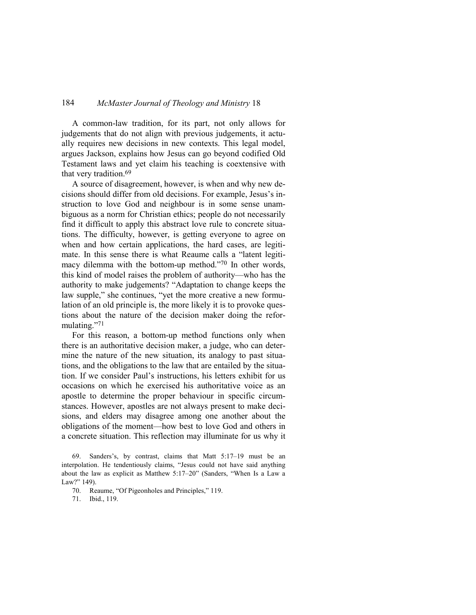A common-law tradition, for its part, not only allows for judgements that do not align with previous judgements, it actually requires new decisions in new contexts. This legal model, argues Jackson, explains how Jesus can go beyond codified Old Testament laws and yet claim his teaching is coextensive with that very tradition.<sup>69</sup>

A source of disagreement, however, is when and why new decisions should differ from old decisions. For example, Jesus's instruction to love God and neighbour is in some sense unambiguous as a norm for Christian ethics; people do not necessarily find it difficult to apply this abstract love rule to concrete situations. The difficulty, however, is getting everyone to agree on when and how certain applications, the hard cases, are legitimate. In this sense there is what Reaume calls a "latent legitimacy dilemma with the bottom-up method."70 In other words, this kind of model raises the problem of authority—who has the authority to make judgements? "Adaptation to change keeps the law supple," she continues, "yet the more creative a new formulation of an old principle is, the more likely it is to provoke questions about the nature of the decision maker doing the reformulating."<sup>71</sup>

For this reason, a bottom-up method functions only when there is an authoritative decision maker, a judge, who can determine the nature of the new situation, its analogy to past situations, and the obligations to the law that are entailed by the situation. If we consider Paul's instructions, his letters exhibit for us occasions on which he exercised his authoritative voice as an apostle to determine the proper behaviour in specific circumstances. However, apostles are not always present to make decisions, and elders may disagree among one another about the obligations of the moment—how best to love God and others in a concrete situation. This reflection may illuminate for us why it

Sanders's, by contrast, claims that Matt 5:17-19 must be an interpolation. He tendentiously claims, "Jesus could not have said anything about the law as explicit as Matthew 5:17–20" (Sanders, "When Is a Law a Law?" 149).

<sup>70.</sup> Reaume, "Of Pigeonholes and Principles," 119.

<sup>71.</sup> Ibid., 119.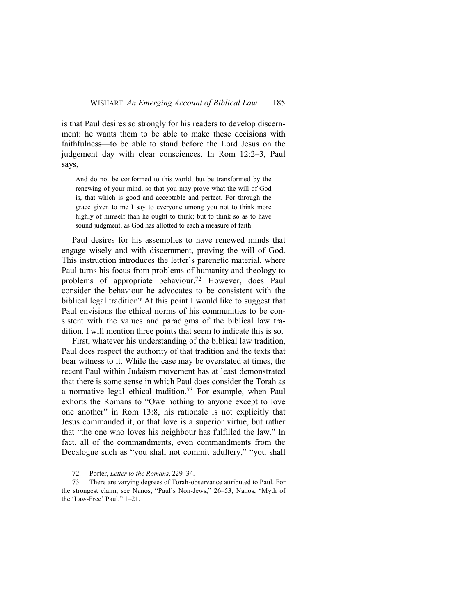is that Paul desires so strongly for his readers to develop discernment: he wants them to be able to make these decisions with faithfulness—to be able to stand before the Lord Jesus on the judgement day with clear consciences. In Rom 12:2–3, Paul says,

And do not be conformed to this world, but be transformed by the renewing of your mind, so that you may prove what the will of God is, that which is good and acceptable and perfect. For through the grace given to me I say to everyone among you not to think more highly of himself than he ought to think; but to think so as to have sound judgment, as God has allotted to each a measure of faith.

Paul desires for his assemblies to have renewed minds that engage wisely and with discernment, proving the will of God. This instruction introduces the letter's parenetic material, where Paul turns his focus from problems of humanity and theology to problems of appropriate behaviour.72 However, does Paul consider the behaviour he advocates to be consistent with the biblical legal tradition? At this point I would like to suggest that Paul envisions the ethical norms of his communities to be consistent with the values and paradigms of the biblical law tradition. I will mention three points that seem to indicate this is so.

First, whatever his understanding of the biblical law tradition, Paul does respect the authority of that tradition and the texts that bear witness to it. While the case may be overstated at times, the recent Paul within Judaism movement has at least demonstrated that there is some sense in which Paul does consider the Torah as a normative legal–ethical tradition.73 For example, when Paul exhorts the Romans to "Owe nothing to anyone except to love one another" in Rom 13:8, his rationale is not explicitly that Jesus commanded it, or that love is a superior virtue, but rather that "the one who loves his neighbour has fulfilled the law." In fact, all of the commandments, even commandments from the Decalogue such as "you shall not commit adultery," "you shall

72. Porter, *Letter to the Romans*, 229–34.

73. There are varying degrees of Torah-observance attributed to Paul. For the strongest claim, see Nanos, "Paul's Non-Jews," 26–53; Nanos, "Myth of the 'Law-Free' Paul," 1–21.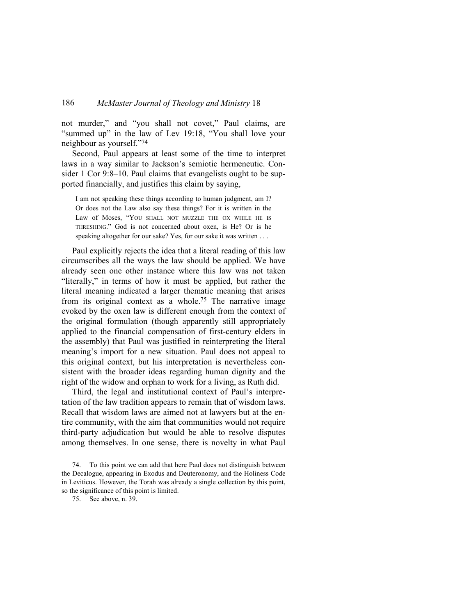not murder," and "you shall not covet," Paul claims, are "summed up" in the law of Lev 19:18, "You shall love your neighbour as yourself."<sup>74</sup>

Second, Paul appears at least some of the time to interpret laws in a way similar to Jackson's semiotic hermeneutic. Consider 1 Cor 9:8–10. Paul claims that evangelists ought to be supported financially, and justifies this claim by saying,

I am not speaking these things according to human judgment, am I? Or does not the Law also say these things? For it is written in the Law of Moses, "YOU SHALL NOT MUZZLE THE OX WHILE HE IS THRESHING." God is not concerned about oxen, is He? Or is he speaking altogether for our sake? Yes, for our sake it was written . . .

Paul explicitly rejects the idea that a literal reading of this law circumscribes all the ways the law should be applied. We have already seen one other instance where this law was not taken "literally," in terms of how it must be applied, but rather the literal meaning indicated a larger thematic meaning that arises from its original context as a whole.<sup>75</sup> The narrative image evoked by the oxen law is different enough from the context of the original formulation (though apparently still appropriately applied to the financial compensation of first-century elders in the assembly) that Paul was justified in reinterpreting the literal meaning's import for a new situation. Paul does not appeal to this original context, but his interpretation is nevertheless consistent with the broader ideas regarding human dignity and the right of the widow and orphan to work for a living, as Ruth did.

Third, the legal and institutional context of Paul's interpretation of the law tradition appears to remain that of wisdom laws. Recall that wisdom laws are aimed not at lawyers but at the entire community, with the aim that communities would not require third-party adjudication but would be able to resolve disputes among themselves. In one sense, there is novelty in what Paul

74. To this point we can add that here Paul does not distinguish between the Decalogue, appearing in Exodus and Deuteronomy, and the Holiness Code in Leviticus. However, the Torah was already a single collection by this point, so the significance of this point is limited.

75. See above, n. 39.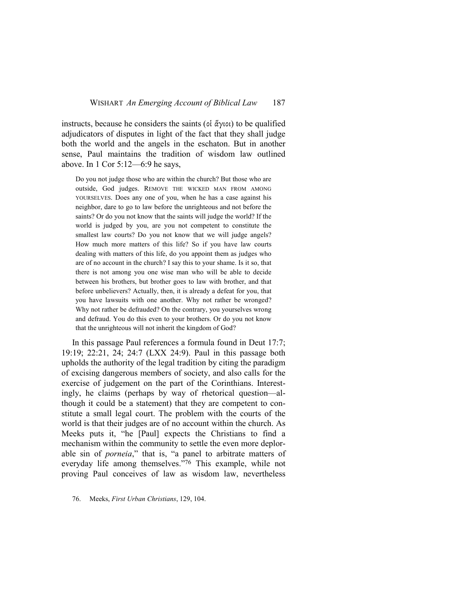instructs, because he considers the saints (οἱ ἄγιοι) to be qualified adjudicators of disputes in light of the fact that they shall judge both the world and the angels in the eschaton. But in another sense, Paul maintains the tradition of wisdom law outlined above. In 1 Cor 5:12—6:9 he says,

Do you not judge those who are within the church? But those who are outside, God judges. REMOVE THE WICKED MAN FROM AMONG YOURSELVES. Does any one of you, when he has a case against his neighbor, dare to go to law before the unrighteous and not before the saints? Or do you not know that the saints will judge the world? If the world is judged by you, are you not competent to constitute the smallest law courts? Do you not know that we will judge angels? How much more matters of this life? So if you have law courts dealing with matters of this life, do you appoint them as judges who are of no account in the church? I say this to your shame. Is it so, that there is not among you one wise man who will be able to decide between his brothers, but brother goes to law with brother, and that before unbelievers? Actually, then, it is already a defeat for you, that you have lawsuits with one another. Why not rather be wronged? Why not rather be defrauded? On the contrary, you yourselves wrong and defraud. You do this even to your brothers. Or do you not know that the unrighteous will not inherit the kingdom of God?

In this passage Paul references a formula found in Deut 17:7; 19:19; 22:21, 24; 24:7 (LXX 24:9). Paul in this passage both upholds the authority of the legal tradition by citing the paradigm of excising dangerous members of society, and also calls for the exercise of judgement on the part of the Corinthians. Interestingly, he claims (perhaps by way of rhetorical question—although it could be a statement) that they are competent to constitute a small legal court. The problem with the courts of the world is that their judges are of no account within the church. As Meeks puts it, "he [Paul] expects the Christians to find a mechanism within the community to settle the even more deplorable sin of *porneia*," that is, "a panel to arbitrate matters of everyday life among themselves."76 This example, while not proving Paul conceives of law as wisdom law, nevertheless

76. Meeks, *First Urban Christians*, 129, 104.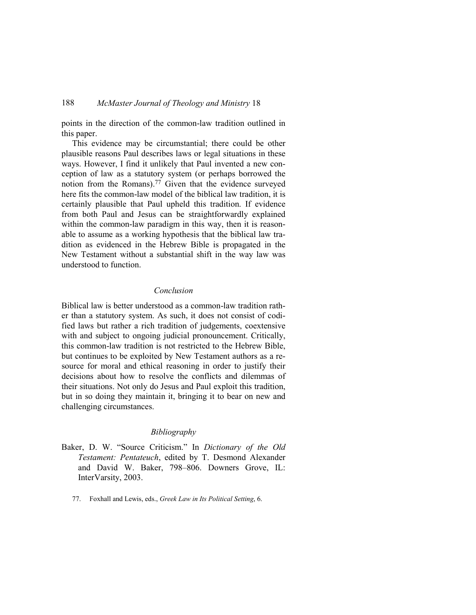points in the direction of the common-law tradition outlined in this paper.

This evidence may be circumstantial; there could be other plausible reasons Paul describes laws or legal situations in these ways. However, I find it unlikely that Paul invented a new conception of law as a statutory system (or perhaps borrowed the notion from the Romans).77 Given that the evidence surveyed here fits the common-law model of the biblical law tradition, it is certainly plausible that Paul upheld this tradition. If evidence from both Paul and Jesus can be straightforwardly explained within the common-law paradigm in this way, then it is reasonable to assume as a working hypothesis that the biblical law tradition as evidenced in the Hebrew Bible is propagated in the New Testament without a substantial shift in the way law was understood to function.

### *Conclusion*

Biblical law is better understood as a common-law tradition rather than a statutory system. As such, it does not consist of codified laws but rather a rich tradition of judgements, coextensive with and subject to ongoing judicial pronouncement. Critically, this common-law tradition is not restricted to the Hebrew Bible, but continues to be exploited by New Testament authors as a resource for moral and ethical reasoning in order to justify their decisions about how to resolve the conflicts and dilemmas of their situations. Not only do Jesus and Paul exploit this tradition, but in so doing they maintain it, bringing it to bear on new and challenging circumstances.

### *Bibliography*

- Baker, D. W. "Source Criticism." In *Dictionary of the Old Testament: Pentateuch*, edited by T. Desmond Alexander and David W. Baker, 798–806. Downers Grove, IL: InterVarsity, 2003.
	- 77. Foxhall and Lewis, eds., *Greek Law in Its Political Setting*, 6.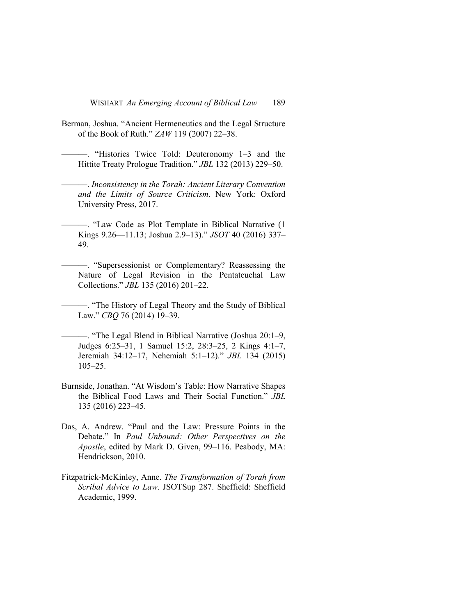- Berman, Joshua. "Ancient Hermeneutics and the Legal Structure of the Book of Ruth." *ZAW* 119 (2007) 22–38.
- ———. "Histories Twice Told: Deuteronomy 1–3 and the Hittite Treaty Prologue Tradition." *JBL* 132 (2013) 229–50.
- ———. *Inconsistency in the Torah: Ancient Literary Convention and the Limits of Source Criticism*. New York: Oxford University Press, 2017.
- ———. "Law Code as Plot Template in Biblical Narrative (1 Kings 9.26—11.13; Joshua 2.9–13)." *JSOT* 40 (2016) 337– 49.
	- ———. "Supersessionist or Complementary? Reassessing the Nature of Legal Revision in the Pentateuchal Law Collections." *JBL* 135 (2016) 201–22.
	- ———. "The History of Legal Theory and the Study of Biblical Law." *CBQ* 76 (2014) 19–39.
- ———. "The Legal Blend in Biblical Narrative (Joshua 20:1–9, Judges 6:25–31, 1 Samuel 15:2, 28:3–25, 2 Kings 4:1–7, Jeremiah 34:12–17, Nehemiah 5:1–12)." *JBL* 134 (2015) 105–25.
- Burnside, Jonathan. "At Wisdom's Table: How Narrative Shapes the Biblical Food Laws and Their Social Function." *JBL* 135 (2016) 223–45.
- Das, A. Andrew. "Paul and the Law: Pressure Points in the Debate." In *Paul Unbound: Other Perspectives on the Apostle*, edited by Mark D. Given, 99–116. Peabody, MA: Hendrickson, 2010.
- Fitzpatrick-McKinley, Anne. *The Transformation of Torah from Scribal Advice to Law*. JSOTSup 287. Sheffield: Sheffield Academic, 1999.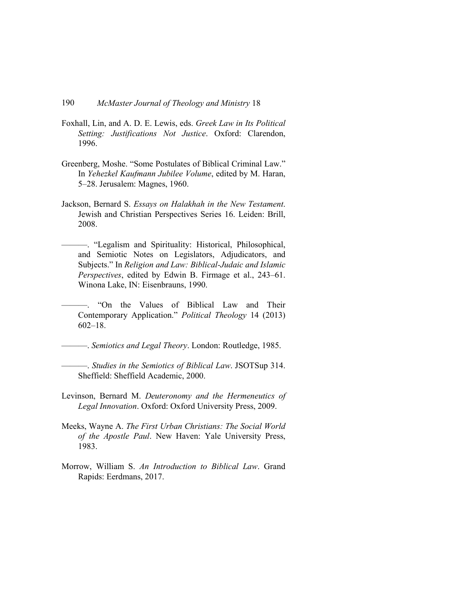- Foxhall, Lin, and A. D. E. Lewis, eds. *Greek Law in Its Political Setting: Justifications Not Justice*. Oxford: Clarendon, 1996.
- Greenberg, Moshe. "Some Postulates of Biblical Criminal Law." In *Yehezkel Kaufmann Jubilee Volume*, edited by M. Haran, 5–28. Jerusalem: Magnes, 1960.
- Jackson, Bernard S. *Essays on Halakhah in the New Testament*. Jewish and Christian Perspectives Series 16. Leiden: Brill, 2008.
- ———. "Legalism and Spirituality: Historical, Philosophical, and Semiotic Notes on Legislators, Adjudicators, and Subjects." In *Religion and Law: Biblical-Judaic and Islamic Perspectives*, edited by Edwin B. Firmage et al., 243–61. Winona Lake, IN: Eisenbrauns, 1990.
- ———. "On the Values of Biblical Law and Their Contemporary Application." *Political Theology* 14 (2013) 602–18.
- ———. *Semiotics and Legal Theory*. London: Routledge, 1985.
	- ———. *Studies in the Semiotics of Biblical Law*. JSOTSup 314. Sheffield: Sheffield Academic, 2000.
- Levinson, Bernard M. *Deuteronomy and the Hermeneutics of Legal Innovation*. Oxford: Oxford University Press, 2009.
- Meeks, Wayne A. *The First Urban Christians: The Social World of the Apostle Paul*. New Haven: Yale University Press, 1983.
- Morrow, William S. *An Introduction to Biblical Law*. Grand Rapids: Eerdmans, 2017.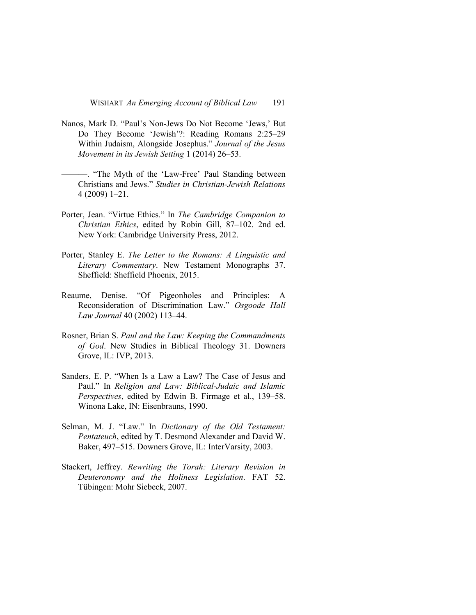- Nanos, Mark D. "Paul's Non-Jews Do Not Become 'Jews,' But Do They Become 'Jewish'?: Reading Romans 2:25–29 Within Judaism, Alongside Josephus." *Journal of the Jesus Movement in its Jewish Setting* 1 (2014) 26–53.
- ———. "The Myth of the 'Law-Free' Paul Standing between Christians and Jews." *Studies in Christian-Jewish Relations* 4 (2009) 1–21.
- Porter, Jean. "Virtue Ethics." In *The Cambridge Companion to Christian Ethics*, edited by Robin Gill, 87–102. 2nd ed. New York: Cambridge University Press, 2012.
- Porter, Stanley E. *The Letter to the Romans: A Linguistic and Literary Commentary*. New Testament Monographs 37. Sheffield: Sheffield Phoenix, 2015.
- Reaume, Denise. "Of Pigeonholes and Principles: A Reconsideration of Discrimination Law." *Osgoode Hall Law Journal* 40 (2002) 113–44.
- Rosner, Brian S. *Paul and the Law: Keeping the Commandments of God*. New Studies in Biblical Theology 31. Downers Grove, IL: IVP, 2013.
- Sanders, E. P. "When Is a Law a Law? The Case of Jesus and Paul." In *Religion and Law: Biblical-Judaic and Islamic Perspectives*, edited by Edwin B. Firmage et al., 139–58. Winona Lake, IN: Eisenbrauns, 1990.
- Selman, M. J. "Law." In *Dictionary of the Old Testament: Pentateuch*, edited by T. Desmond Alexander and David W. Baker, 497–515. Downers Grove, IL: InterVarsity, 2003.
- Stackert, Jeffrey. *Rewriting the Torah: Literary Revision in Deuteronomy and the Holiness Legislation*. FAT 52. Tübingen: Mohr Siebeck, 2007.